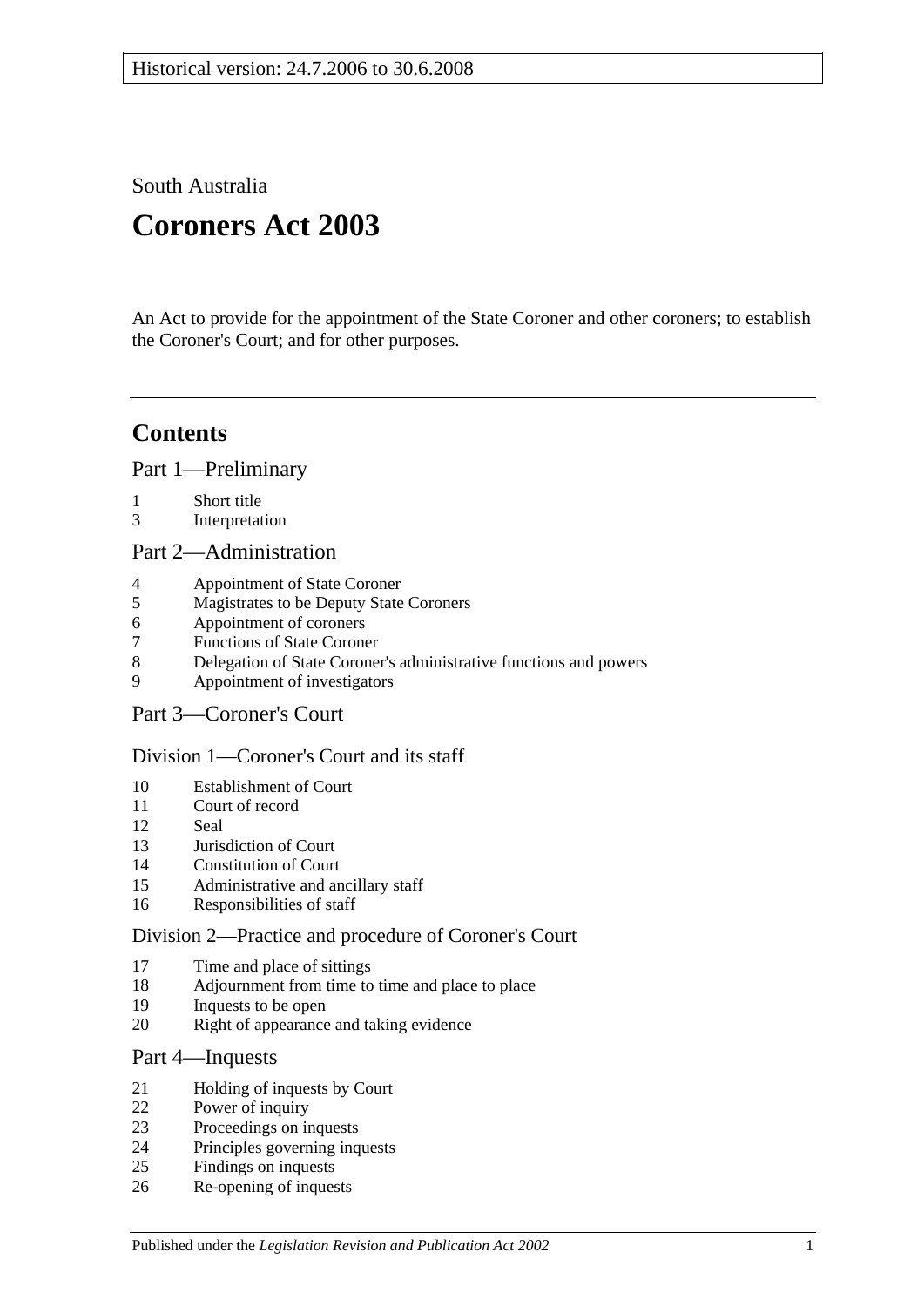South Australia

# **Coroners Act 2003**

An Act to provide for the appointment of the State Coroner and other coroners; to establish the Coroner's Court; and for other purposes.

## **Contents**

[Part 1—Preliminary](#page-1-0)

- [Short title](#page-1-1)
- [Interpretation](#page-1-2)

[Part 2—Administration](#page-4-0)

- [Appointment of State Coroner](#page-4-1)
- [Magistrates to be Deputy State Coroners](#page-4-2)
- [Appointment of coroners](#page-4-3)
- [Functions of State Coroner](#page-4-4)
- [Delegation of State Coroner's administrative functions and powers](#page-4-5)
- [Appointment of investigators](#page-5-0)
- [Part 3—Coroner's Court](#page-5-1)

## [Division 1—Coroner's Court and its staff](#page-5-2)

- [Establishment of Court](#page-5-3)
- [Court of record](#page-5-4)<br>12 Seal
- [Seal](#page-5-5)
- [Jurisdiction of Court](#page-5-6)
- [Constitution of Court](#page-5-7)
- [Administrative and ancillary staff](#page-6-0)
- [Responsibilities of staff](#page-6-1)

## [Division 2—Practice and procedure of Coroner's Court](#page-6-2)

- [Time and place of sittings](#page-6-3)
- [Adjournment from time to time and place to place](#page-6-4)
- [Inquests to be open](#page-6-5)
- [Right of appearance and taking evidence](#page-6-6)

## [Part 4—Inquests](#page-7-0)

- [Holding of inquests by Court](#page-7-1)
- [Power of inquiry](#page-7-2)
- [Proceedings on inquests](#page-8-0)
- [Principles governing inquests](#page-10-0)
- [Findings on inquests](#page-10-1)
- [Re-opening of inquests](#page-10-2)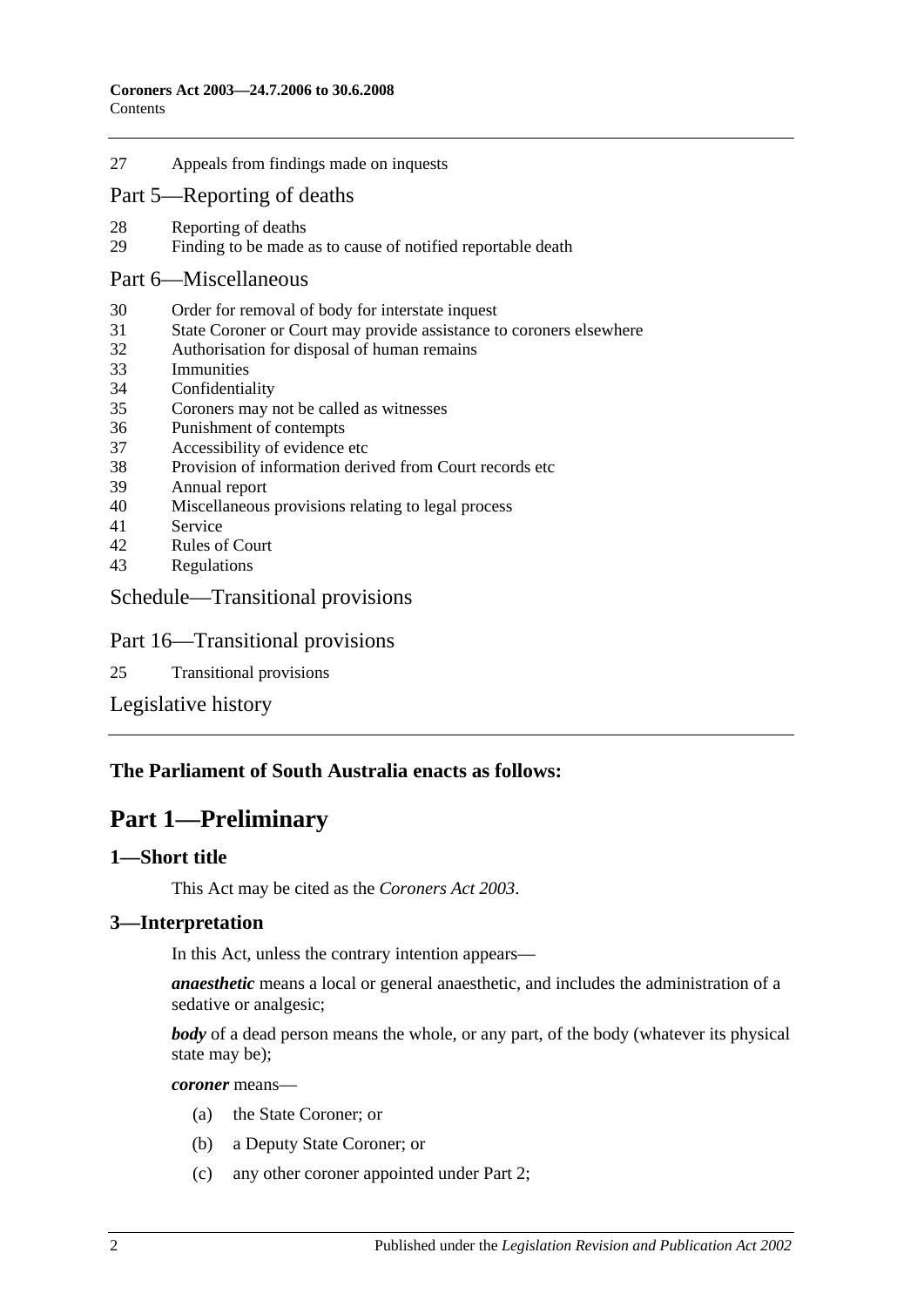27 [Appeals from findings made on inquests](#page-11-0)

#### [Part 5—Reporting of deaths](#page-11-1)

- 28 [Reporting of deaths](#page-11-2)<br>29 Finding to be made
- [Finding to be made as to cause of notified reportable death](#page-12-0)

#### [Part 6—Miscellaneous](#page-12-1)

- 30 [Order for removal of body for interstate inquest](#page-12-2)
- 31 [State Coroner or Court may provide assistance to coroners elsewhere](#page-12-3)
- 32 [Authorisation for disposal of human remains](#page-12-4)
- 33 [Immunities](#page-13-0)
- 34 [Confidentiality](#page-13-1)
- 35 [Coroners may not be called as](#page-13-2) witnesses
- 36 [Punishment of contempts](#page-13-3)
- 37 [Accessibility of evidence etc](#page-14-0)
- 38 [Provision of information derived from Court records etc](#page-14-1)
- 39 [Annual report](#page-14-2)
- 40 [Miscellaneous provisions relating to legal process](#page-15-0)
- 41 [Service](#page-15-1)
- 42 [Rules of Court](#page-15-2)
- 43 [Regulations](#page-15-3)

#### [Schedule—Transitional provisions](#page-15-4)

#### Part 16—Transitional provisions

25 [Transitional provisions](#page-15-5)

[Legislative history](#page-17-0)

#### <span id="page-1-0"></span>**The Parliament of South Australia enacts as follows:**

## **Part 1—Preliminary**

#### <span id="page-1-1"></span>**1—Short title**

This Act may be cited as the *Coroners Act 2003*.

#### <span id="page-1-2"></span>**3—Interpretation**

In this Act, unless the contrary intention appears—

*anaesthetic* means a local or general anaesthetic, and includes the administration of a sedative or analgesic;

*body* of a dead person means the whole, or any part, of the body (whatever its physical state may be);

*coroner* means—

- (a) the State Coroner; or
- (b) a Deputy State Coroner; or
- (c) any other coroner appointed under [Part 2;](#page-4-0)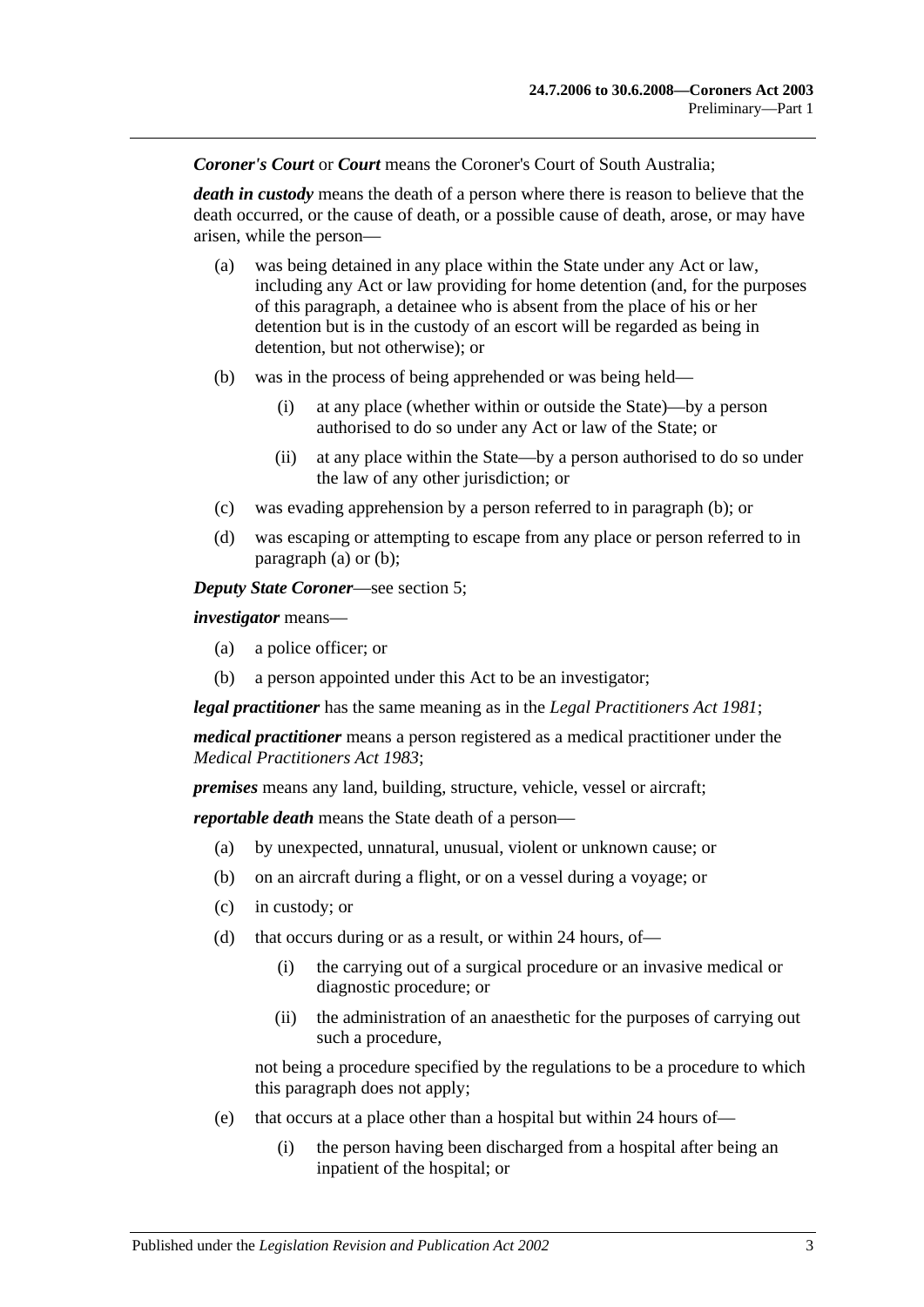*Coroner's Court* or *Court* means the Coroner's Court of South Australia;

*death in custody* means the death of a person where there is reason to believe that the death occurred, or the cause of death, or a possible cause of death, arose, or may have arisen, while the person—

- <span id="page-2-1"></span>(a) was being detained in any place within the State under any Act or law, including any Act or law providing for home detention (and, for the purposes of this paragraph, a detainee who is absent from the place of his or her detention but is in the custody of an escort will be regarded as being in detention, but not otherwise); or
- <span id="page-2-0"></span>(b) was in the process of being apprehended or was being held—
	- (i) at any place (whether within or outside the State)—by a person authorised to do so under any Act or law of the State; or
	- (ii) at any place within the State—by a person authorised to do so under the law of any other jurisdiction; or
- (c) was evading apprehension by a person referred to in [paragraph](#page-2-0) (b); or
- (d) was escaping or attempting to escape from any place or person referred to in [paragraph](#page-2-1) (a) or [\(b\);](#page-2-0)

*Deputy State Coroner*—see [section](#page-4-2) 5;

*investigator* means—

- (a) a police officer; or
- (b) a person appointed under this Act to be an investigator;

*legal practitioner* has the same meaning as in the *[Legal Practitioners Act](http://www.legislation.sa.gov.au/index.aspx?action=legref&type=act&legtitle=Legal%20Practitioners%20Act%201981) 1981*;

*medical practitioner* means a person registered as a medical practitioner under the *[Medical Practitioners Act](http://www.legislation.sa.gov.au/index.aspx?action=legref&type=act&legtitle=Medical%20Practitioners%20Act%201983) 1983*;

*premises* means any land, building, structure, vehicle, vessel or aircraft;

*reportable death* means the State death of a person—

- (a) by unexpected, unnatural, unusual, violent or unknown cause; or
- (b) on an aircraft during a flight, or on a vessel during a voyage; or
- (c) in custody; or
- (d) that occurs during or as a result, or within 24 hours, of—
	- (i) the carrying out of a surgical procedure or an invasive medical or diagnostic procedure; or
	- (ii) the administration of an anaesthetic for the purposes of carrying out such a procedure,

not being a procedure specified by the regulations to be a procedure to which this paragraph does not apply;

- (e) that occurs at a place other than a hospital but within 24 hours of—
	- (i) the person having been discharged from a hospital after being an inpatient of the hospital; or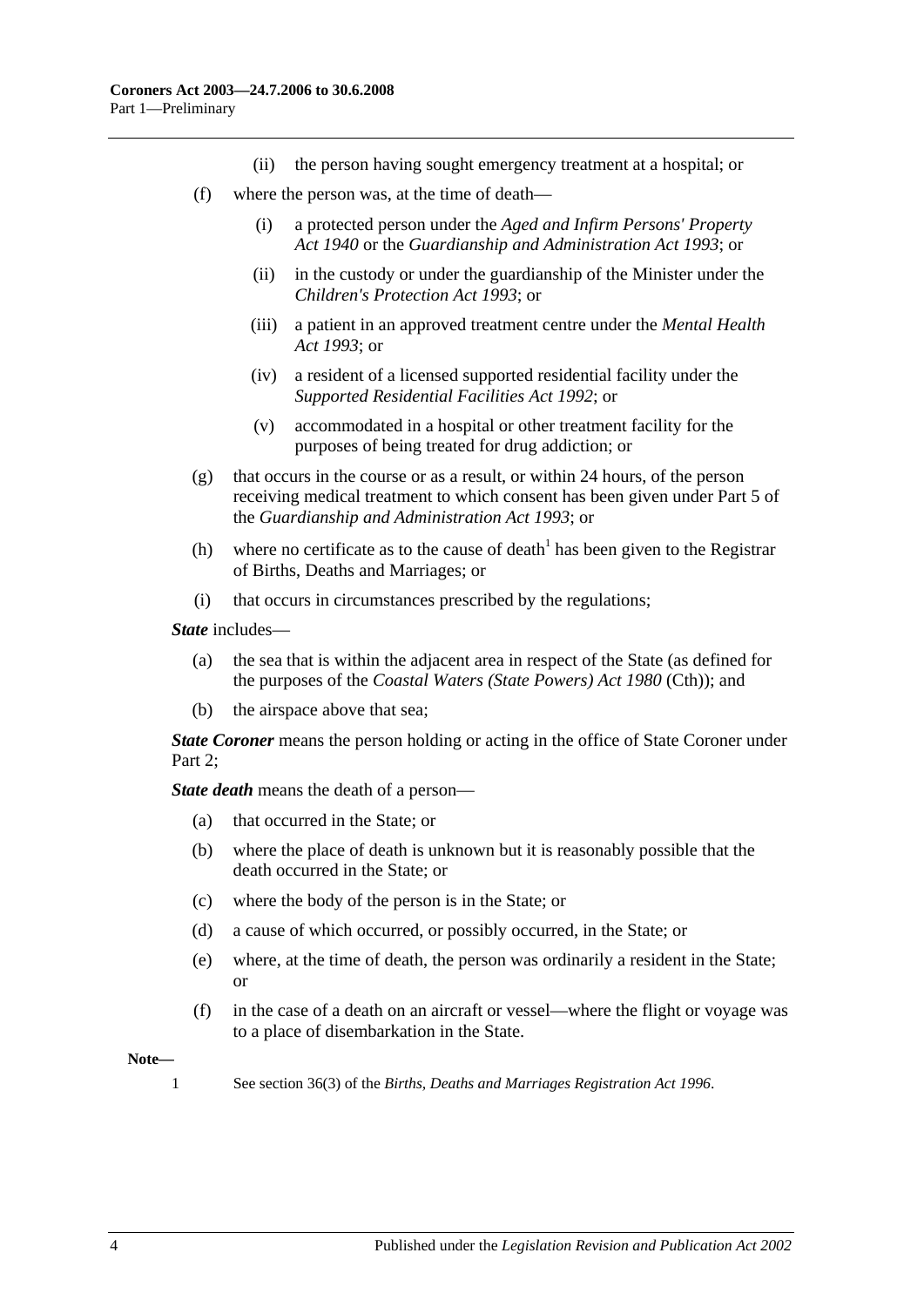- (ii) the person having sought emergency treatment at a hospital; or
- (f) where the person was, at the time of death—
	- (i) a protected person under the *[Aged and Infirm Persons' Property](http://www.legislation.sa.gov.au/index.aspx?action=legref&type=act&legtitle=Aged%20and%20Infirm%20Persons%20Property%20Act%201940)  Act [1940](http://www.legislation.sa.gov.au/index.aspx?action=legref&type=act&legtitle=Aged%20and%20Infirm%20Persons%20Property%20Act%201940)* or the *[Guardianship and Administration Act](http://www.legislation.sa.gov.au/index.aspx?action=legref&type=act&legtitle=Guardianship%20and%20Administration%20Act%201993) 1993*; or
	- (ii) in the custody or under the guardianship of the Minister under the *[Children's Protection Act](http://www.legislation.sa.gov.au/index.aspx?action=legref&type=act&legtitle=Childrens%20Protection%20Act%201993) 1993*; or
	- (iii) a patient in an approved treatment centre under the *[Mental Health](http://www.legislation.sa.gov.au/index.aspx?action=legref&type=act&legtitle=Mental%20Health%20Act%201993)  Act [1993](http://www.legislation.sa.gov.au/index.aspx?action=legref&type=act&legtitle=Mental%20Health%20Act%201993)*; or
	- (iv) a resident of a licensed supported residential facility under the *[Supported Residential Facilities Act](http://www.legislation.sa.gov.au/index.aspx?action=legref&type=act&legtitle=Supported%20Residential%20Facilities%20Act%201992) 1992*; or
	- (v) accommodated in a hospital or other treatment facility for the purposes of being treated for drug addiction; or
- (g) that occurs in the course or as a result, or within 24 hours, of the person receiving medical treatment to which consent has been given under Part 5 of the *[Guardianship and Administration Act](http://www.legislation.sa.gov.au/index.aspx?action=legref&type=act&legtitle=Guardianship%20and%20Administration%20Act%201993) 1993*; or
- (h) where no certificate as to the cause of death<sup>1</sup> has been given to the Registrar of Births, Deaths and Marriages; or
- (i) that occurs in circumstances prescribed by the regulations;

*State* includes—

- (a) the sea that is within the adjacent area in respect of the State (as defined for the purposes of the *Coastal Waters (State Powers) Act 1980* (Cth)); and
- (b) the airspace above that sea;

*State Coroner* means the person holding or acting in the office of State Coroner under Part 2:

*State death* means the death of a person—

- (a) that occurred in the State; or
- (b) where the place of death is unknown but it is reasonably possible that the death occurred in the State; or
- (c) where the body of the person is in the State; or
- (d) a cause of which occurred, or possibly occurred, in the State; or
- (e) where, at the time of death, the person was ordinarily a resident in the State; or
- (f) in the case of a death on an aircraft or vessel—where the flight or voyage was to a place of disembarkation in the State.

**Note—**

1 See section 36(3) of the *[Births, Deaths and Marriages Registration Act](http://www.legislation.sa.gov.au/index.aspx?action=legref&type=act&legtitle=Births%20Deaths%20and%20Marriages%20Registration%20Act%201996) 1996*.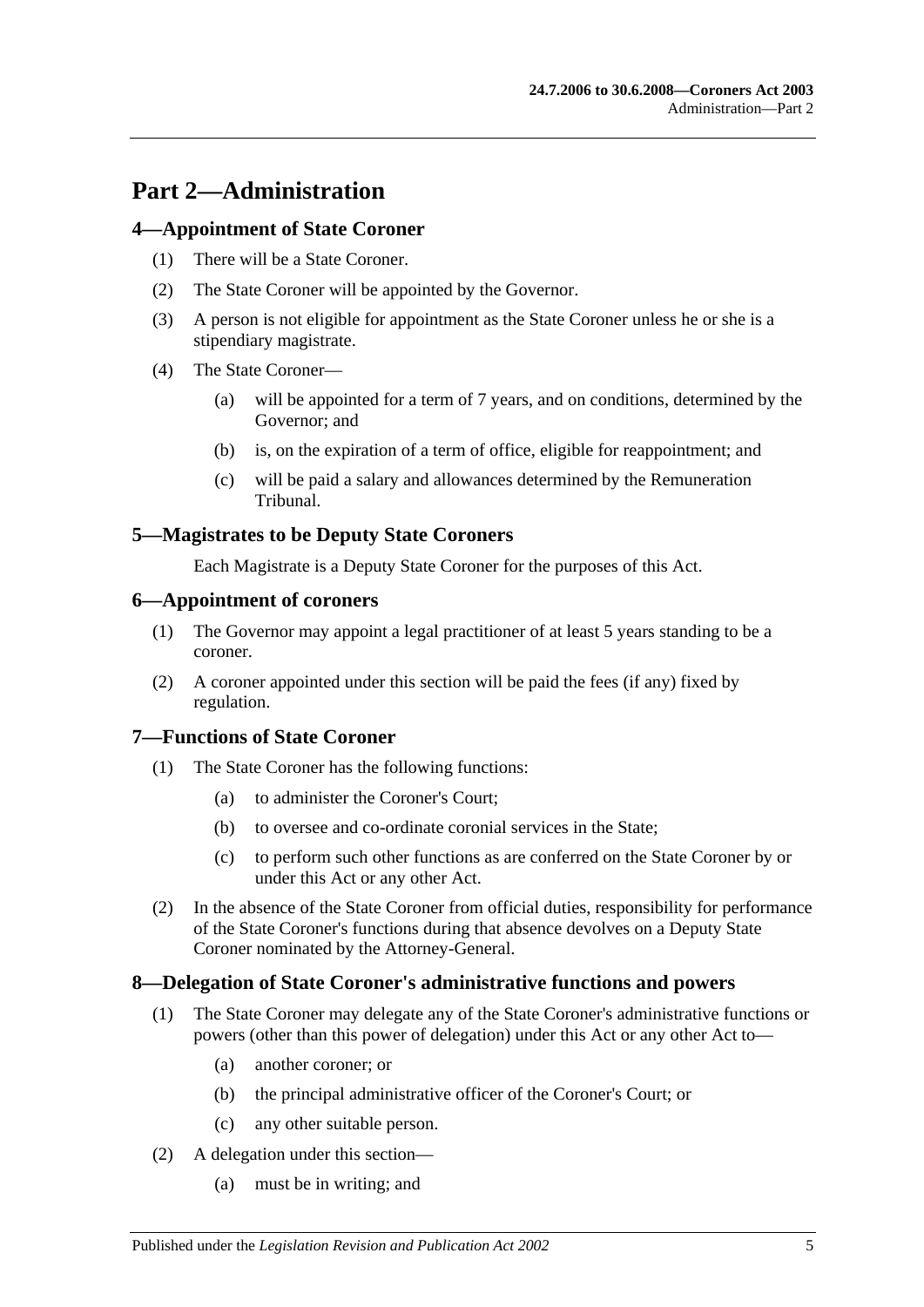## <span id="page-4-0"></span>**Part 2—Administration**

## <span id="page-4-1"></span>**4—Appointment of State Coroner**

- (1) There will be a State Coroner.
- (2) The State Coroner will be appointed by the Governor.
- (3) A person is not eligible for appointment as the State Coroner unless he or she is a stipendiary magistrate.
- (4) The State Coroner—
	- (a) will be appointed for a term of 7 years, and on conditions, determined by the Governor; and
	- (b) is, on the expiration of a term of office, eligible for reappointment; and
	- (c) will be paid a salary and allowances determined by the Remuneration Tribunal.

## <span id="page-4-2"></span>**5—Magistrates to be Deputy State Coroners**

Each Magistrate is a Deputy State Coroner for the purposes of this Act.

#### <span id="page-4-3"></span>**6—Appointment of coroners**

- (1) The Governor may appoint a legal practitioner of at least 5 years standing to be a coroner.
- (2) A coroner appointed under this section will be paid the fees (if any) fixed by regulation.

## <span id="page-4-4"></span>**7—Functions of State Coroner**

- (1) The State Coroner has the following functions:
	- (a) to administer the Coroner's Court;
	- (b) to oversee and co-ordinate coronial services in the State;
	- (c) to perform such other functions as are conferred on the State Coroner by or under this Act or any other Act.
- (2) In the absence of the State Coroner from official duties, responsibility for performance of the State Coroner's functions during that absence devolves on a Deputy State Coroner nominated by the Attorney-General.

## <span id="page-4-5"></span>**8—Delegation of State Coroner's administrative functions and powers**

- (1) The State Coroner may delegate any of the State Coroner's administrative functions or powers (other than this power of delegation) under this Act or any other Act to—
	- (a) another coroner; or
	- (b) the principal administrative officer of the Coroner's Court; or
	- (c) any other suitable person.
- (2) A delegation under this section—
	- (a) must be in writing; and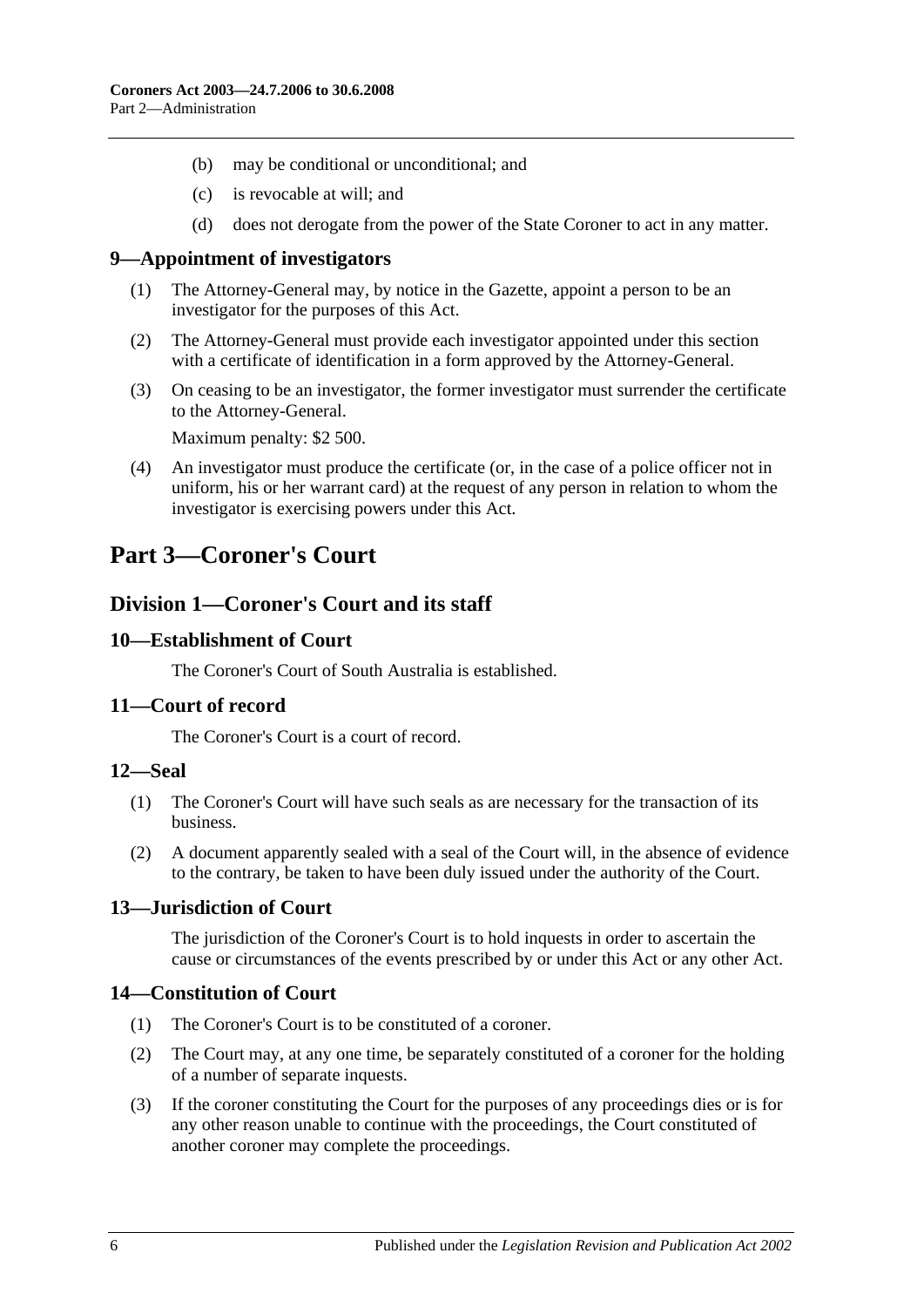- (b) may be conditional or unconditional; and
- (c) is revocable at will; and
- (d) does not derogate from the power of the State Coroner to act in any matter.

#### <span id="page-5-0"></span>**9—Appointment of investigators**

- (1) The Attorney-General may, by notice in the Gazette, appoint a person to be an investigator for the purposes of this Act.
- (2) The Attorney-General must provide each investigator appointed under this section with a certificate of identification in a form approved by the Attorney-General.
- (3) On ceasing to be an investigator, the former investigator must surrender the certificate to the Attorney-General.

Maximum penalty: \$2 500.

(4) An investigator must produce the certificate (or, in the case of a police officer not in uniform, his or her warrant card) at the request of any person in relation to whom the investigator is exercising powers under this Act.

## <span id="page-5-2"></span><span id="page-5-1"></span>**Part 3—Coroner's Court**

## **Division 1—Coroner's Court and its staff**

#### <span id="page-5-3"></span>**10—Establishment of Court**

The Coroner's Court of South Australia is established.

#### <span id="page-5-4"></span>**11—Court of record**

The Coroner's Court is a court of record.

#### <span id="page-5-5"></span>**12—Seal**

- (1) The Coroner's Court will have such seals as are necessary for the transaction of its business.
- (2) A document apparently sealed with a seal of the Court will, in the absence of evidence to the contrary, be taken to have been duly issued under the authority of the Court.

## <span id="page-5-6"></span>**13—Jurisdiction of Court**

The jurisdiction of the Coroner's Court is to hold inquests in order to ascertain the cause or circumstances of the events prescribed by or under this Act or any other Act.

## <span id="page-5-7"></span>**14—Constitution of Court**

- (1) The Coroner's Court is to be constituted of a coroner.
- (2) The Court may, at any one time, be separately constituted of a coroner for the holding of a number of separate inquests.
- (3) If the coroner constituting the Court for the purposes of any proceedings dies or is for any other reason unable to continue with the proceedings, the Court constituted of another coroner may complete the proceedings.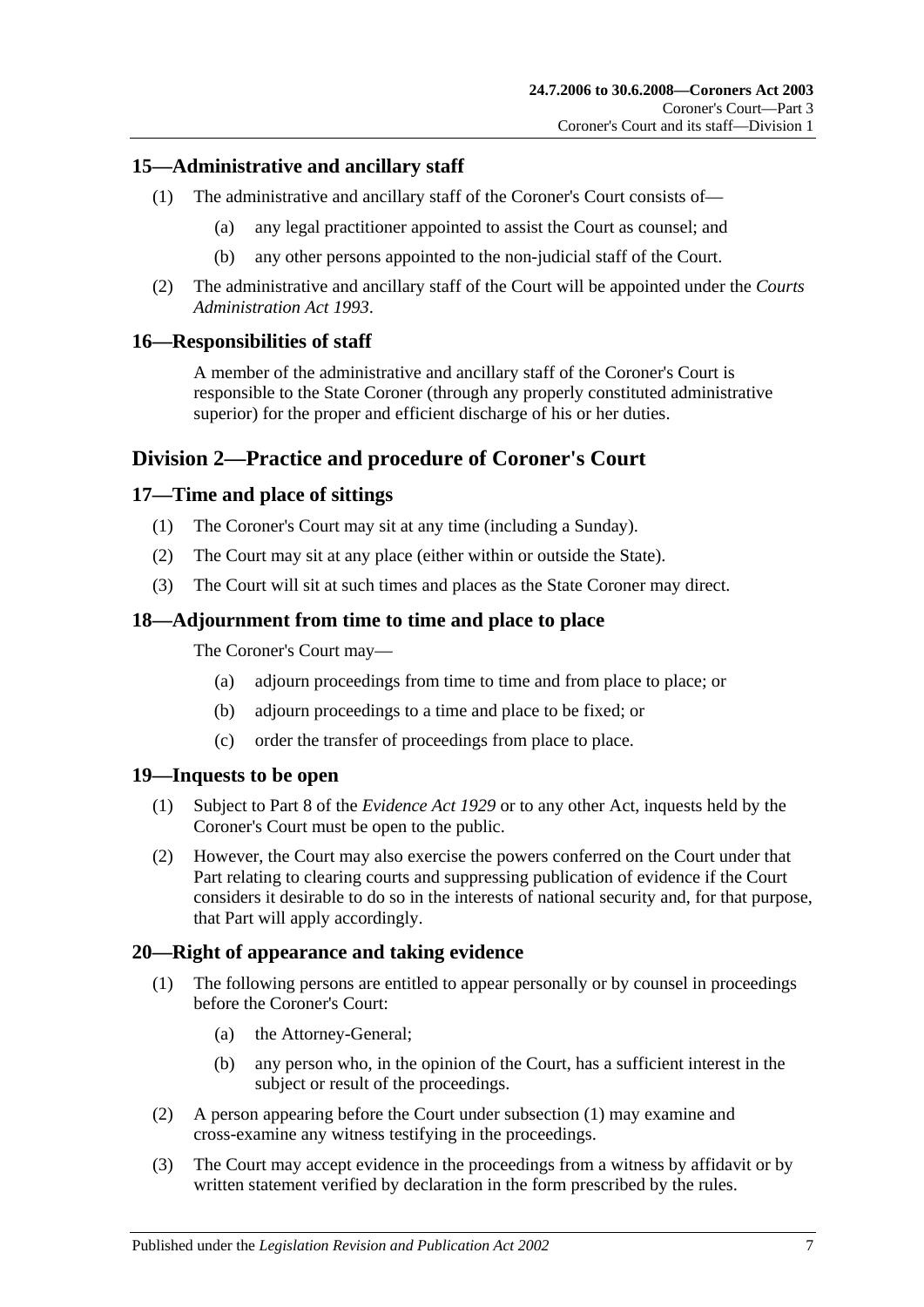## <span id="page-6-0"></span>**15—Administrative and ancillary staff**

- (1) The administrative and ancillary staff of the Coroner's Court consists of—
	- (a) any legal practitioner appointed to assist the Court as counsel; and
	- (b) any other persons appointed to the non-judicial staff of the Court.
- (2) The administrative and ancillary staff of the Court will be appointed under the *[Courts](http://www.legislation.sa.gov.au/index.aspx?action=legref&type=act&legtitle=Courts%20Administration%20Act%201993)  [Administration Act](http://www.legislation.sa.gov.au/index.aspx?action=legref&type=act&legtitle=Courts%20Administration%20Act%201993) 1993*.

## <span id="page-6-1"></span>**16—Responsibilities of staff**

A member of the administrative and ancillary staff of the Coroner's Court is responsible to the State Coroner (through any properly constituted administrative superior) for the proper and efficient discharge of his or her duties.

## <span id="page-6-2"></span>**Division 2—Practice and procedure of Coroner's Court**

## <span id="page-6-3"></span>**17—Time and place of sittings**

- (1) The Coroner's Court may sit at any time (including a Sunday).
- (2) The Court may sit at any place (either within or outside the State).
- (3) The Court will sit at such times and places as the State Coroner may direct.

## <span id="page-6-4"></span>**18—Adjournment from time to time and place to place**

The Coroner's Court may—

- (a) adjourn proceedings from time to time and from place to place; or
- (b) adjourn proceedings to a time and place to be fixed; or
- (c) order the transfer of proceedings from place to place.

## <span id="page-6-5"></span>**19—Inquests to be open**

- (1) Subject to Part 8 of the *[Evidence Act](http://www.legislation.sa.gov.au/index.aspx?action=legref&type=act&legtitle=Evidence%20Act%201929) 1929* or to any other Act, inquests held by the Coroner's Court must be open to the public.
- (2) However, the Court may also exercise the powers conferred on the Court under that Part relating to clearing courts and suppressing publication of evidence if the Court considers it desirable to do so in the interests of national security and, for that purpose, that Part will apply accordingly.

## <span id="page-6-7"></span><span id="page-6-6"></span>**20—Right of appearance and taking evidence**

- (1) The following persons are entitled to appear personally or by counsel in proceedings before the Coroner's Court:
	- (a) the Attorney-General;
	- (b) any person who, in the opinion of the Court, has a sufficient interest in the subject or result of the proceedings.
- (2) A person appearing before the Court under [subsection](#page-6-7) (1) may examine and cross-examine any witness testifying in the proceedings.
- (3) The Court may accept evidence in the proceedings from a witness by affidavit or by written statement verified by declaration in the form prescribed by the rules.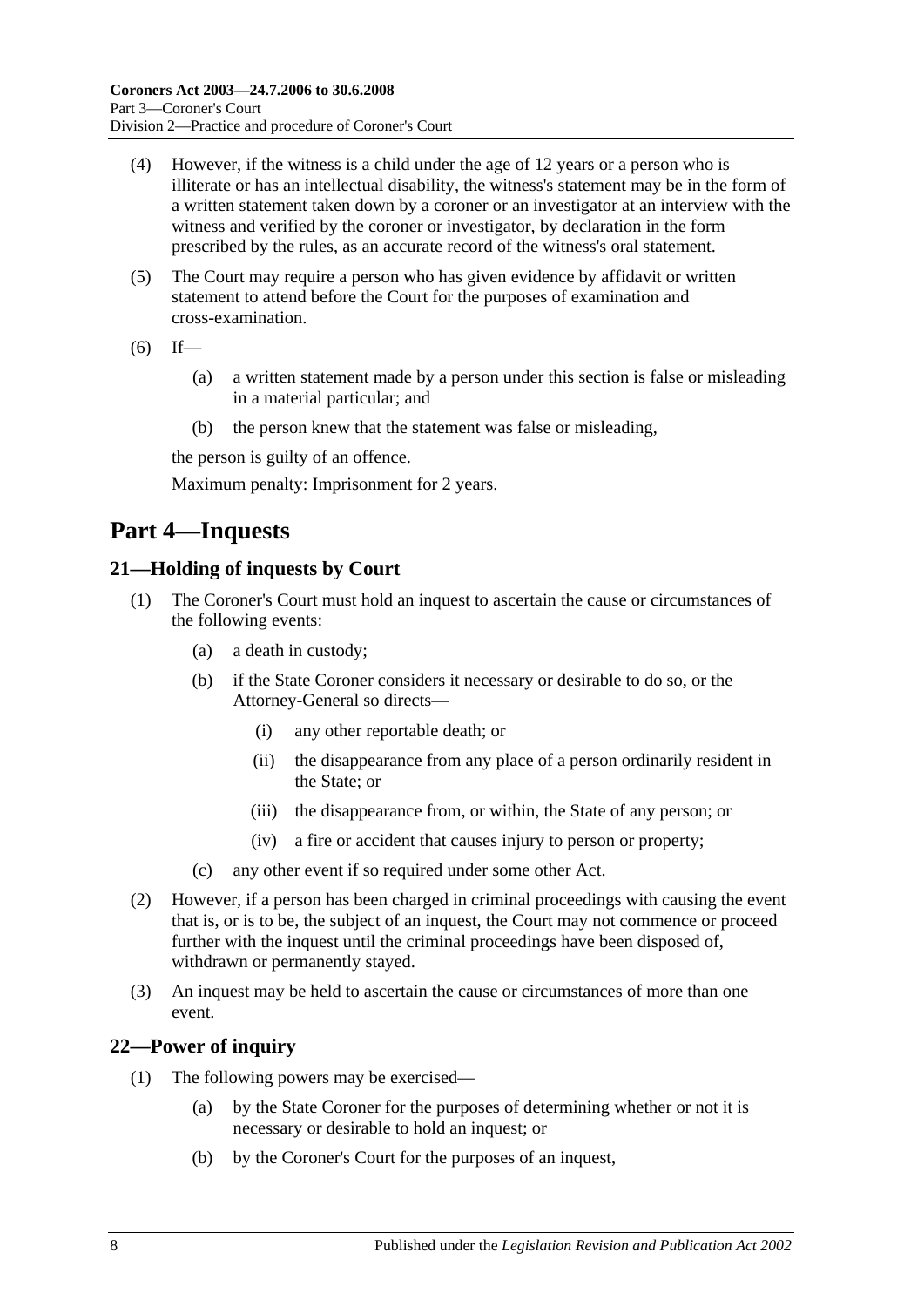- (4) However, if the witness is a child under the age of 12 years or a person who is illiterate or has an intellectual disability, the witness's statement may be in the form of a written statement taken down by a coroner or an investigator at an interview with the witness and verified by the coroner or investigator, by declaration in the form prescribed by the rules, as an accurate record of the witness's oral statement.
- (5) The Court may require a person who has given evidence by affidavit or written statement to attend before the Court for the purposes of examination and cross-examination.
- $(6)$  If—
	- (a) a written statement made by a person under this section is false or misleading in a material particular; and
	- (b) the person knew that the statement was false or misleading,

the person is guilty of an offence.

Maximum penalty: Imprisonment for 2 years.

## <span id="page-7-0"></span>**Part 4—Inquests**

## <span id="page-7-1"></span>**21—Holding of inquests by Court**

- (1) The Coroner's Court must hold an inquest to ascertain the cause or circumstances of the following events:
	- (a) a death in custody;
	- (b) if the State Coroner considers it necessary or desirable to do so, or the Attorney-General so directs—
		- (i) any other reportable death; or
		- (ii) the disappearance from any place of a person ordinarily resident in the State; or
		- (iii) the disappearance from, or within, the State of any person; or
		- (iv) a fire or accident that causes injury to person or property;
	- (c) any other event if so required under some other Act.
- (2) However, if a person has been charged in criminal proceedings with causing the event that is, or is to be, the subject of an inquest, the Court may not commence or proceed further with the inquest until the criminal proceedings have been disposed of, withdrawn or permanently stayed.
- (3) An inquest may be held to ascertain the cause or circumstances of more than one event.

## <span id="page-7-2"></span>**22—Power of inquiry**

- (1) The following powers may be exercised—
	- (a) by the State Coroner for the purposes of determining whether or not it is necessary or desirable to hold an inquest; or
	- (b) by the Coroner's Court for the purposes of an inquest,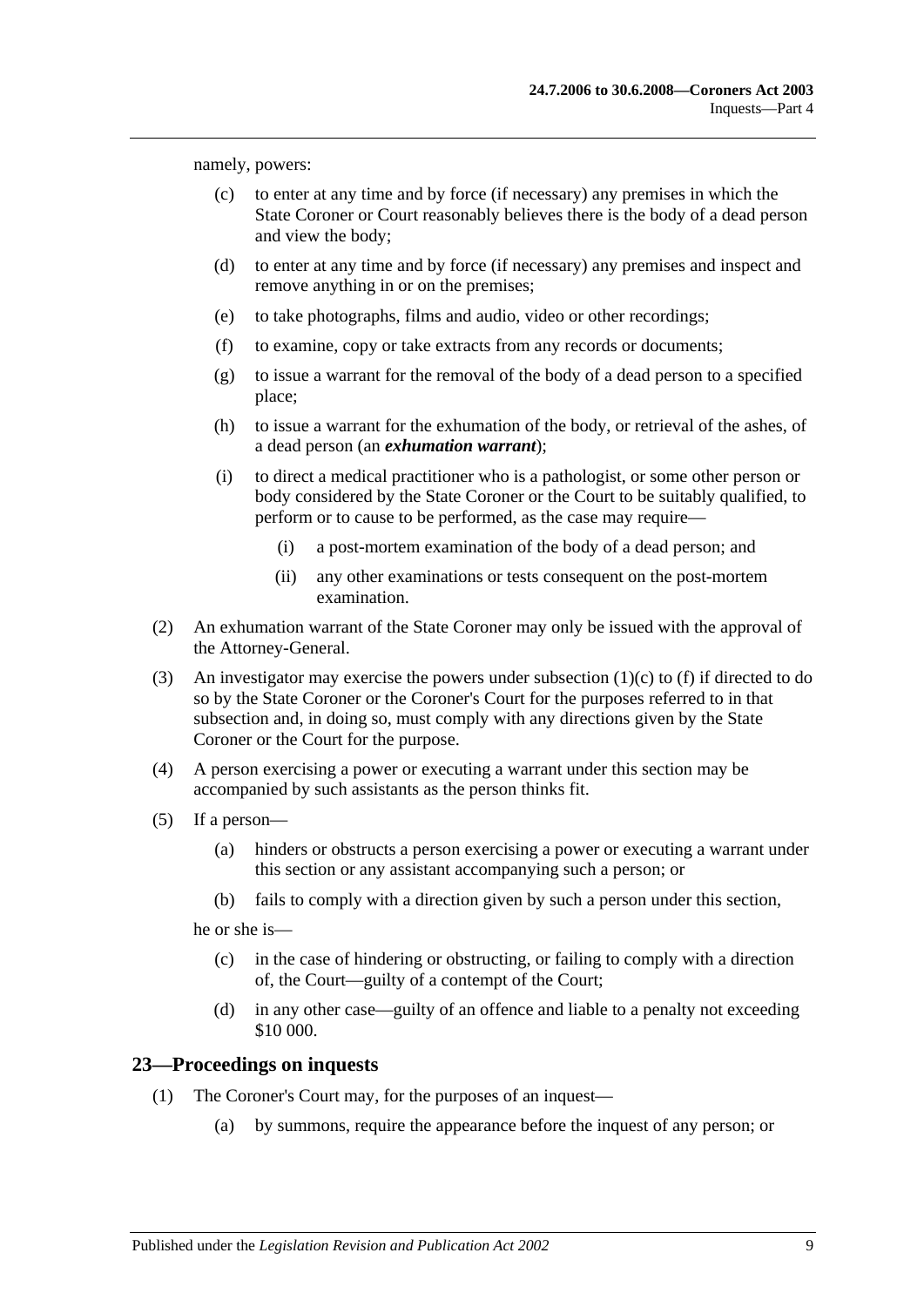<span id="page-8-1"></span>namely, powers:

- (c) to enter at any time and by force (if necessary) any premises in which the State Coroner or Court reasonably believes there is the body of a dead person and view the body;
- (d) to enter at any time and by force (if necessary) any premises and inspect and remove anything in or on the premises;
- (e) to take photographs, films and audio, video or other recordings;
- <span id="page-8-2"></span>(f) to examine, copy or take extracts from any records or documents;
- (g) to issue a warrant for the removal of the body of a dead person to a specified place;
- (h) to issue a warrant for the exhumation of the body, or retrieval of the ashes, of a dead person (an *exhumation warrant*);
- (i) to direct a medical practitioner who is a pathologist, or some other person or body considered by the State Coroner or the Court to be suitably qualified, to perform or to cause to be performed, as the case may require—
	- (i) a post-mortem examination of the body of a dead person; and
	- (ii) any other examinations or tests consequent on the post-mortem examination.
- (2) An exhumation warrant of the State Coroner may only be issued with the approval of the Attorney-General.
- (3) An investigator may exercise the powers under [subsection](#page-8-1) (1)(c) to [\(f\)](#page-8-2) if directed to do so by the State Coroner or the Coroner's Court for the purposes referred to in that subsection and, in doing so, must comply with any directions given by the State Coroner or the Court for the purpose.
- (4) A person exercising a power or executing a warrant under this section may be accompanied by such assistants as the person thinks fit.
- (5) If a person—
	- (a) hinders or obstructs a person exercising a power or executing a warrant under this section or any assistant accompanying such a person; or
	- (b) fails to comply with a direction given by such a person under this section,

he or she is—

- (c) in the case of hindering or obstructing, or failing to comply with a direction of, the Court—guilty of a contempt of the Court;
- (d) in any other case—guilty of an offence and liable to a penalty not exceeding \$10 000.

#### <span id="page-8-0"></span>**23—Proceedings on inquests**

- (1) The Coroner's Court may, for the purposes of an inquest—
	- (a) by summons, require the appearance before the inquest of any person; or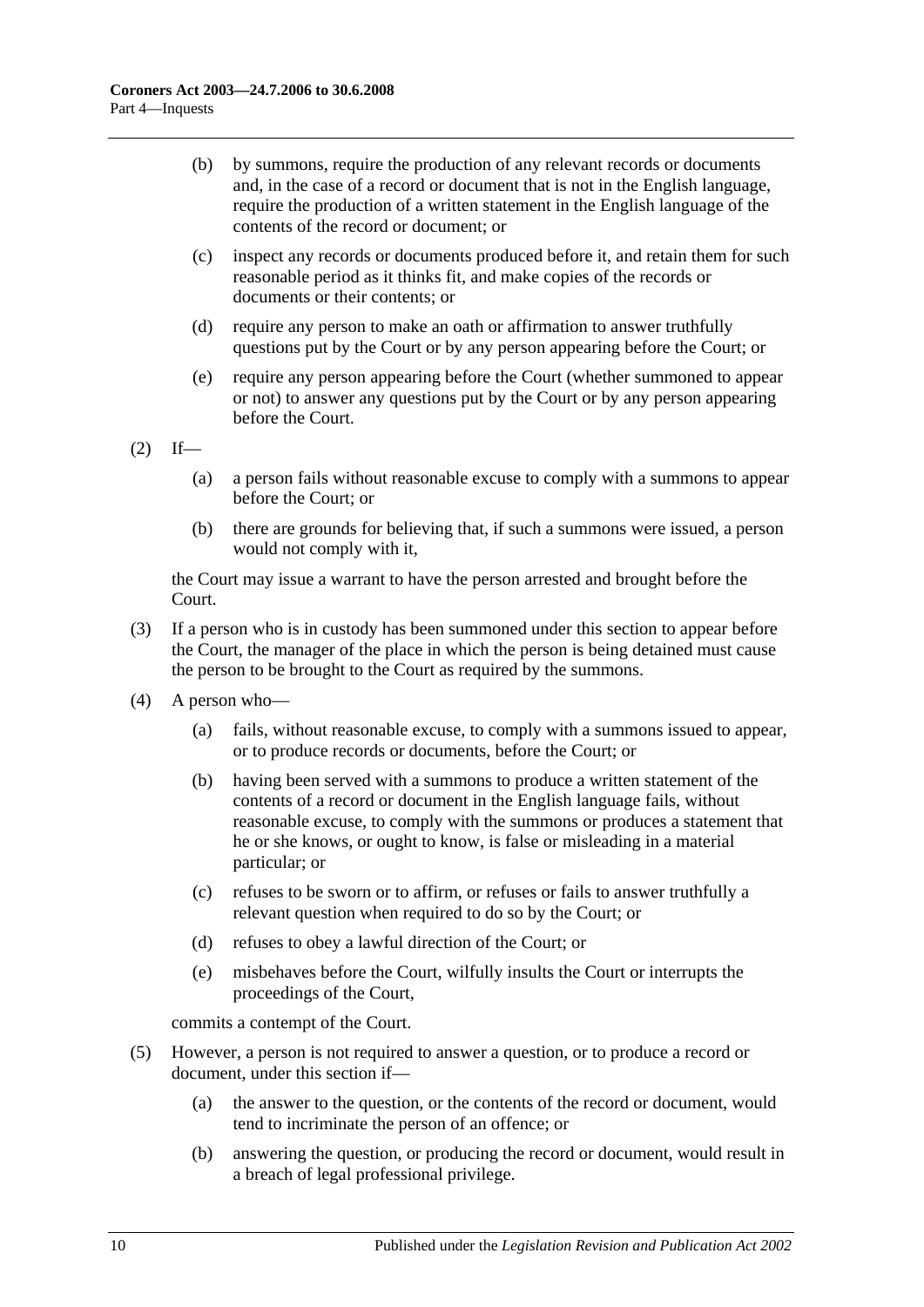- (b) by summons, require the production of any relevant records or documents and, in the case of a record or document that is not in the English language, require the production of a written statement in the English language of the contents of the record or document; or
- (c) inspect any records or documents produced before it, and retain them for such reasonable period as it thinks fit, and make copies of the records or documents or their contents; or
- (d) require any person to make an oath or affirmation to answer truthfully questions put by the Court or by any person appearing before the Court; or
- (e) require any person appearing before the Court (whether summoned to appear or not) to answer any questions put by the Court or by any person appearing before the Court.

 $(2)$  If—

- (a) a person fails without reasonable excuse to comply with a summons to appear before the Court; or
- (b) there are grounds for believing that, if such a summons were issued, a person would not comply with it,

the Court may issue a warrant to have the person arrested and brought before the Court.

- (3) If a person who is in custody has been summoned under this section to appear before the Court, the manager of the place in which the person is being detained must cause the person to be brought to the Court as required by the summons.
- (4) A person who—
	- (a) fails, without reasonable excuse, to comply with a summons issued to appear, or to produce records or documents, before the Court; or
	- (b) having been served with a summons to produce a written statement of the contents of a record or document in the English language fails, without reasonable excuse, to comply with the summons or produces a statement that he or she knows, or ought to know, is false or misleading in a material particular; or
	- (c) refuses to be sworn or to affirm, or refuses or fails to answer truthfully a relevant question when required to do so by the Court; or
	- (d) refuses to obey a lawful direction of the Court; or
	- (e) misbehaves before the Court, wilfully insults the Court or interrupts the proceedings of the Court,

commits a contempt of the Court.

- (5) However, a person is not required to answer a question, or to produce a record or document, under this section if—
	- (a) the answer to the question, or the contents of the record or document, would tend to incriminate the person of an offence; or
	- (b) answering the question, or producing the record or document, would result in a breach of legal professional privilege.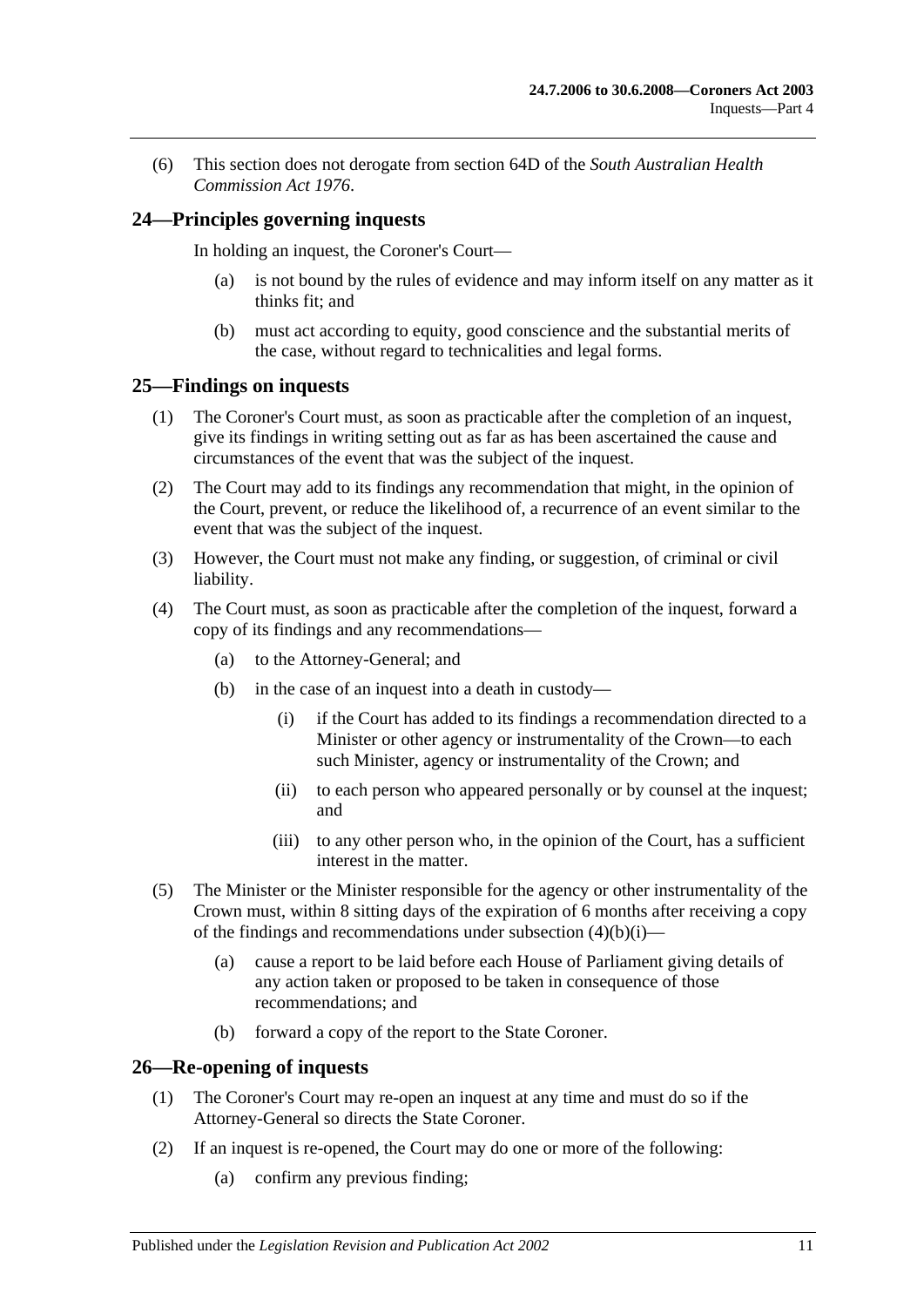(6) This section does not derogate from section 64D of the *[South Australian Health](http://www.legislation.sa.gov.au/index.aspx?action=legref&type=act&legtitle=South%20Australian%20Health%20Commission%20Act%201976)  [Commission Act](http://www.legislation.sa.gov.au/index.aspx?action=legref&type=act&legtitle=South%20Australian%20Health%20Commission%20Act%201976) 1976*.

## <span id="page-10-0"></span>**24—Principles governing inquests**

In holding an inquest, the Coroner's Court—

- (a) is not bound by the rules of evidence and may inform itself on any matter as it thinks fit; and
- (b) must act according to equity, good conscience and the substantial merits of the case, without regard to technicalities and legal forms.

#### <span id="page-10-1"></span>**25—Findings on inquests**

- (1) The Coroner's Court must, as soon as practicable after the completion of an inquest, give its findings in writing setting out as far as has been ascertained the cause and circumstances of the event that was the subject of the inquest.
- (2) The Court may add to its findings any recommendation that might, in the opinion of the Court, prevent, or reduce the likelihood of, a recurrence of an event similar to the event that was the subject of the inquest.
- (3) However, the Court must not make any finding, or suggestion, of criminal or civil liability.
- <span id="page-10-3"></span>(4) The Court must, as soon as practicable after the completion of the inquest, forward a copy of its findings and any recommendations—
	- (a) to the Attorney-General; and
	- (b) in the case of an inquest into a death in custody—
		- (i) if the Court has added to its findings a recommendation directed to a Minister or other agency or instrumentality of the Crown—to each such Minister, agency or instrumentality of the Crown; and
		- (ii) to each person who appeared personally or by counsel at the inquest; and
		- (iii) to any other person who, in the opinion of the Court, has a sufficient interest in the matter.
- (5) The Minister or the Minister responsible for the agency or other instrumentality of the Crown must, within 8 sitting days of the expiration of 6 months after receiving a copy of the findings and recommendations under [subsection](#page-10-3)  $(4)(b)(i)$ —
	- (a) cause a report to be laid before each House of Parliament giving details of any action taken or proposed to be taken in consequence of those recommendations; and
	- (b) forward a copy of the report to the State Coroner.

#### <span id="page-10-2"></span>**26—Re-opening of inquests**

- (1) The Coroner's Court may re-open an inquest at any time and must do so if the Attorney-General so directs the State Coroner.
- (2) If an inquest is re-opened, the Court may do one or more of the following:
	- (a) confirm any previous finding;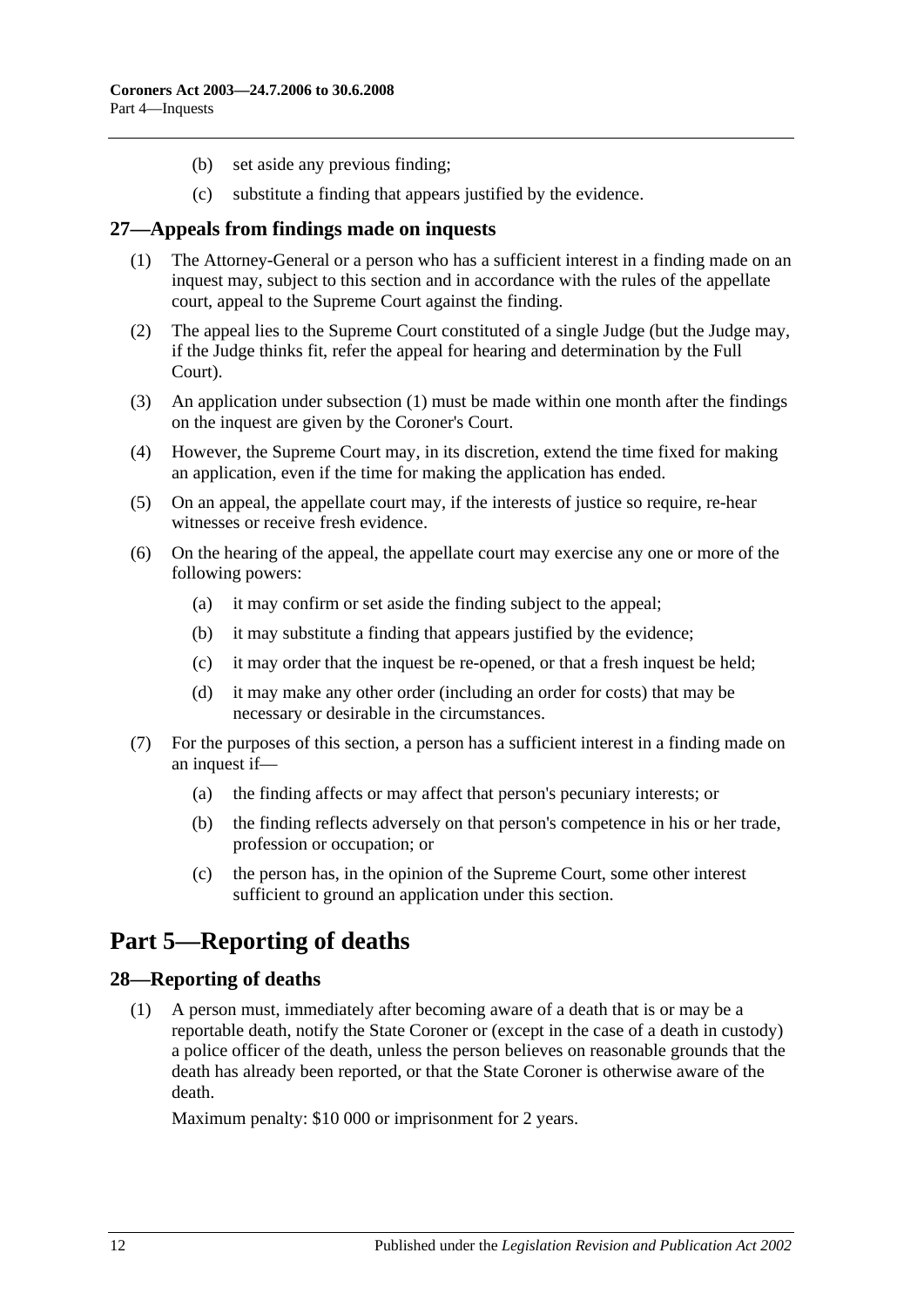- (b) set aside any previous finding;
- (c) substitute a finding that appears justified by the evidence.

#### <span id="page-11-3"></span><span id="page-11-0"></span>**27—Appeals from findings made on inquests**

- (1) The Attorney-General or a person who has a sufficient interest in a finding made on an inquest may, subject to this section and in accordance with the rules of the appellate court, appeal to the Supreme Court against the finding.
- (2) The appeal lies to the Supreme Court constituted of a single Judge (but the Judge may, if the Judge thinks fit, refer the appeal for hearing and determination by the Full Court).
- (3) An application under [subsection](#page-11-3) (1) must be made within one month after the findings on the inquest are given by the Coroner's Court.
- (4) However, the Supreme Court may, in its discretion, extend the time fixed for making an application, even if the time for making the application has ended.
- (5) On an appeal, the appellate court may, if the interests of justice so require, re-hear witnesses or receive fresh evidence.
- (6) On the hearing of the appeal, the appellate court may exercise any one or more of the following powers:
	- (a) it may confirm or set aside the finding subject to the appeal;
	- (b) it may substitute a finding that appears justified by the evidence;
	- (c) it may order that the inquest be re-opened, or that a fresh inquest be held;
	- (d) it may make any other order (including an order for costs) that may be necessary or desirable in the circumstances.
- (7) For the purposes of this section, a person has a sufficient interest in a finding made on an inquest if—
	- (a) the finding affects or may affect that person's pecuniary interests; or
	- (b) the finding reflects adversely on that person's competence in his or her trade, profession or occupation; or
	- (c) the person has, in the opinion of the Supreme Court, some other interest sufficient to ground an application under this section.

## <span id="page-11-1"></span>**Part 5—Reporting of deaths**

#### <span id="page-11-2"></span>**28—Reporting of deaths**

(1) A person must, immediately after becoming aware of a death that is or may be a reportable death, notify the State Coroner or (except in the case of a death in custody) a police officer of the death, unless the person believes on reasonable grounds that the death has already been reported, or that the State Coroner is otherwise aware of the death.

Maximum penalty: \$10 000 or imprisonment for 2 years.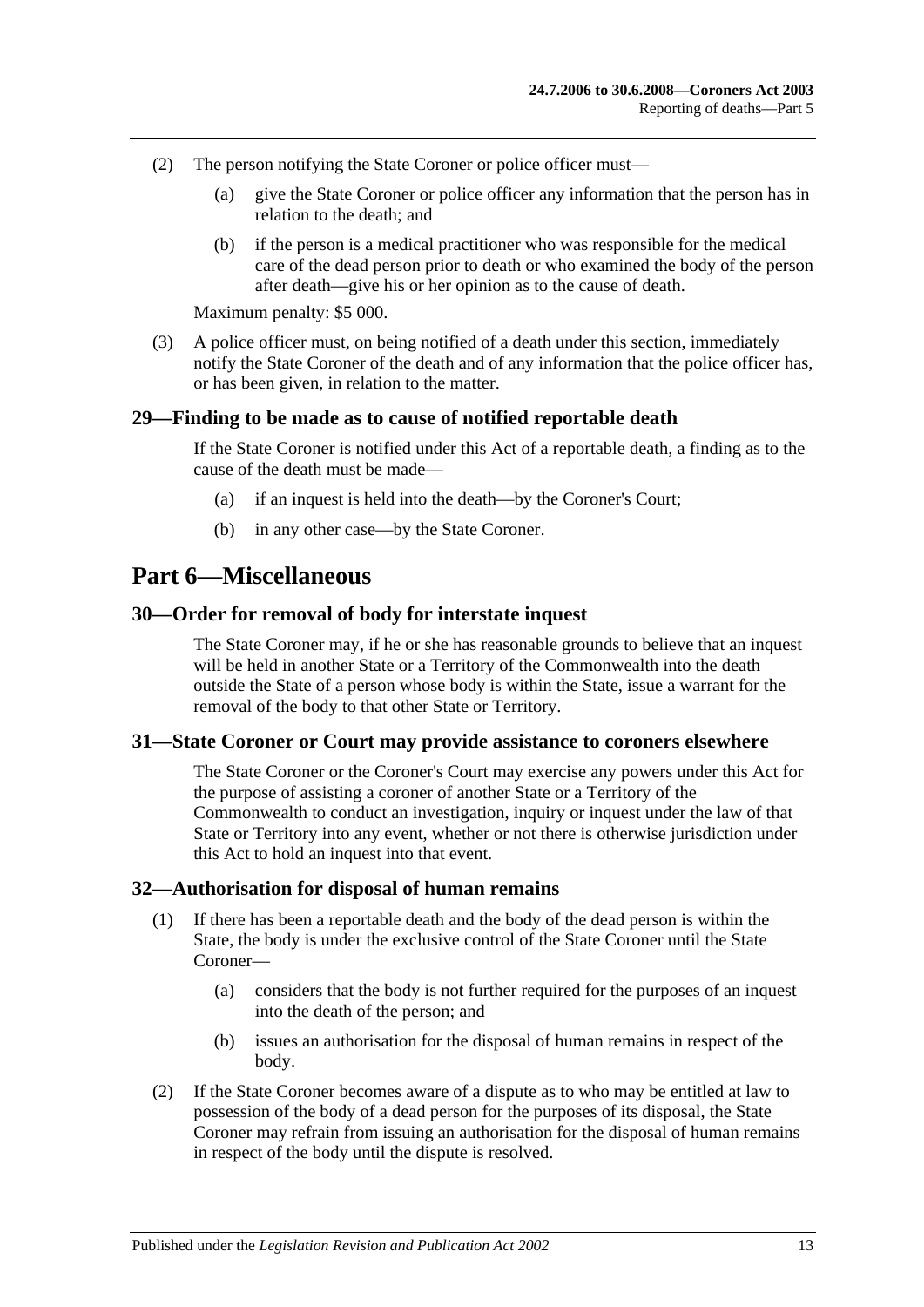- (2) The person notifying the State Coroner or police officer must—
	- (a) give the State Coroner or police officer any information that the person has in relation to the death; and
	- (b) if the person is a medical practitioner who was responsible for the medical care of the dead person prior to death or who examined the body of the person after death—give his or her opinion as to the cause of death.

Maximum penalty: \$5 000.

(3) A police officer must, on being notified of a death under this section, immediately notify the State Coroner of the death and of any information that the police officer has, or has been given, in relation to the matter.

#### <span id="page-12-0"></span>**29—Finding to be made as to cause of notified reportable death**

If the State Coroner is notified under this Act of a reportable death, a finding as to the cause of the death must be made—

- (a) if an inquest is held into the death—by the Coroner's Court;
- (b) in any other case—by the State Coroner.

## <span id="page-12-1"></span>**Part 6—Miscellaneous**

#### <span id="page-12-2"></span>**30—Order for removal of body for interstate inquest**

The State Coroner may, if he or she has reasonable grounds to believe that an inquest will be held in another State or a Territory of the Commonwealth into the death outside the State of a person whose body is within the State, issue a warrant for the removal of the body to that other State or Territory.

#### <span id="page-12-3"></span>**31—State Coroner or Court may provide assistance to coroners elsewhere**

The State Coroner or the Coroner's Court may exercise any powers under this Act for the purpose of assisting a coroner of another State or a Territory of the Commonwealth to conduct an investigation, inquiry or inquest under the law of that State or Territory into any event, whether or not there is otherwise jurisdiction under this Act to hold an inquest into that event.

#### <span id="page-12-4"></span>**32—Authorisation for disposal of human remains**

- (1) If there has been a reportable death and the body of the dead person is within the State, the body is under the exclusive control of the State Coroner until the State Coroner—
	- (a) considers that the body is not further required for the purposes of an inquest into the death of the person; and
	- (b) issues an authorisation for the disposal of human remains in respect of the body.
- (2) If the State Coroner becomes aware of a dispute as to who may be entitled at law to possession of the body of a dead person for the purposes of its disposal, the State Coroner may refrain from issuing an authorisation for the disposal of human remains in respect of the body until the dispute is resolved.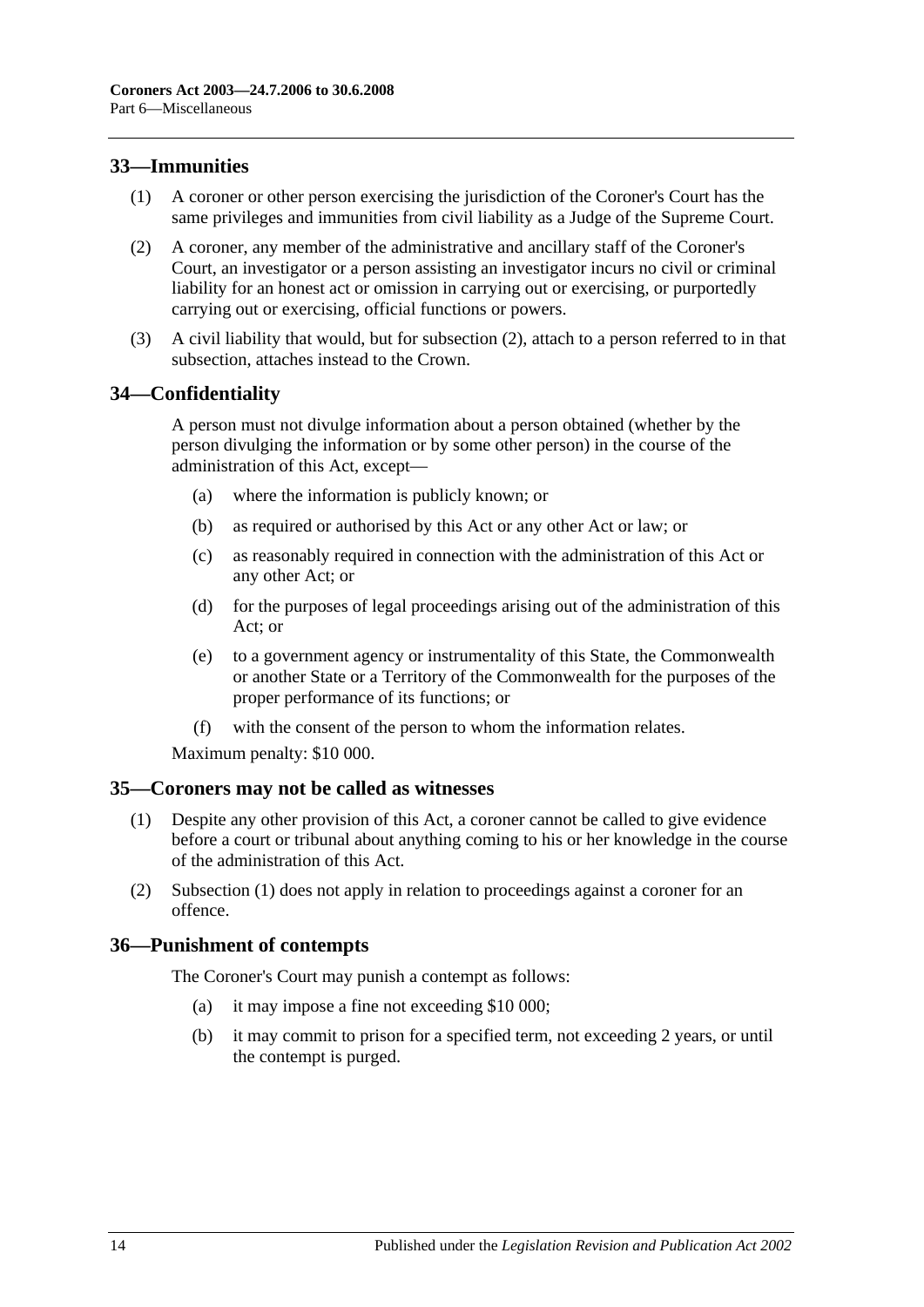## <span id="page-13-0"></span>**33—Immunities**

- (1) A coroner or other person exercising the jurisdiction of the Coroner's Court has the same privileges and immunities from civil liability as a Judge of the Supreme Court.
- <span id="page-13-4"></span>(2) A coroner, any member of the administrative and ancillary staff of the Coroner's Court, an investigator or a person assisting an investigator incurs no civil or criminal liability for an honest act or omission in carrying out or exercising, or purportedly carrying out or exercising, official functions or powers.
- (3) A civil liability that would, but for [subsection](#page-13-4) (2), attach to a person referred to in that subsection, attaches instead to the Crown.

## <span id="page-13-1"></span>**34—Confidentiality**

A person must not divulge information about a person obtained (whether by the person divulging the information or by some other person) in the course of the administration of this Act, except—

- (a) where the information is publicly known; or
- (b) as required or authorised by this Act or any other Act or law; or
- (c) as reasonably required in connection with the administration of this Act or any other Act; or
- (d) for the purposes of legal proceedings arising out of the administration of this Act; or
- (e) to a government agency or instrumentality of this State, the Commonwealth or another State or a Territory of the Commonwealth for the purposes of the proper performance of its functions; or
- (f) with the consent of the person to whom the information relates.

Maximum penalty: \$10 000.

#### <span id="page-13-5"></span><span id="page-13-2"></span>**35—Coroners may not be called as witnesses**

- (1) Despite any other provision of this Act, a coroner cannot be called to give evidence before a court or tribunal about anything coming to his or her knowledge in the course of the administration of this Act.
- (2) [Subsection](#page-13-5) (1) does not apply in relation to proceedings against a coroner for an offence.

## <span id="page-13-3"></span>**36—Punishment of contempts**

The Coroner's Court may punish a contempt as follows:

- (a) it may impose a fine not exceeding \$10 000;
- (b) it may commit to prison for a specified term, not exceeding 2 years, or until the contempt is purged.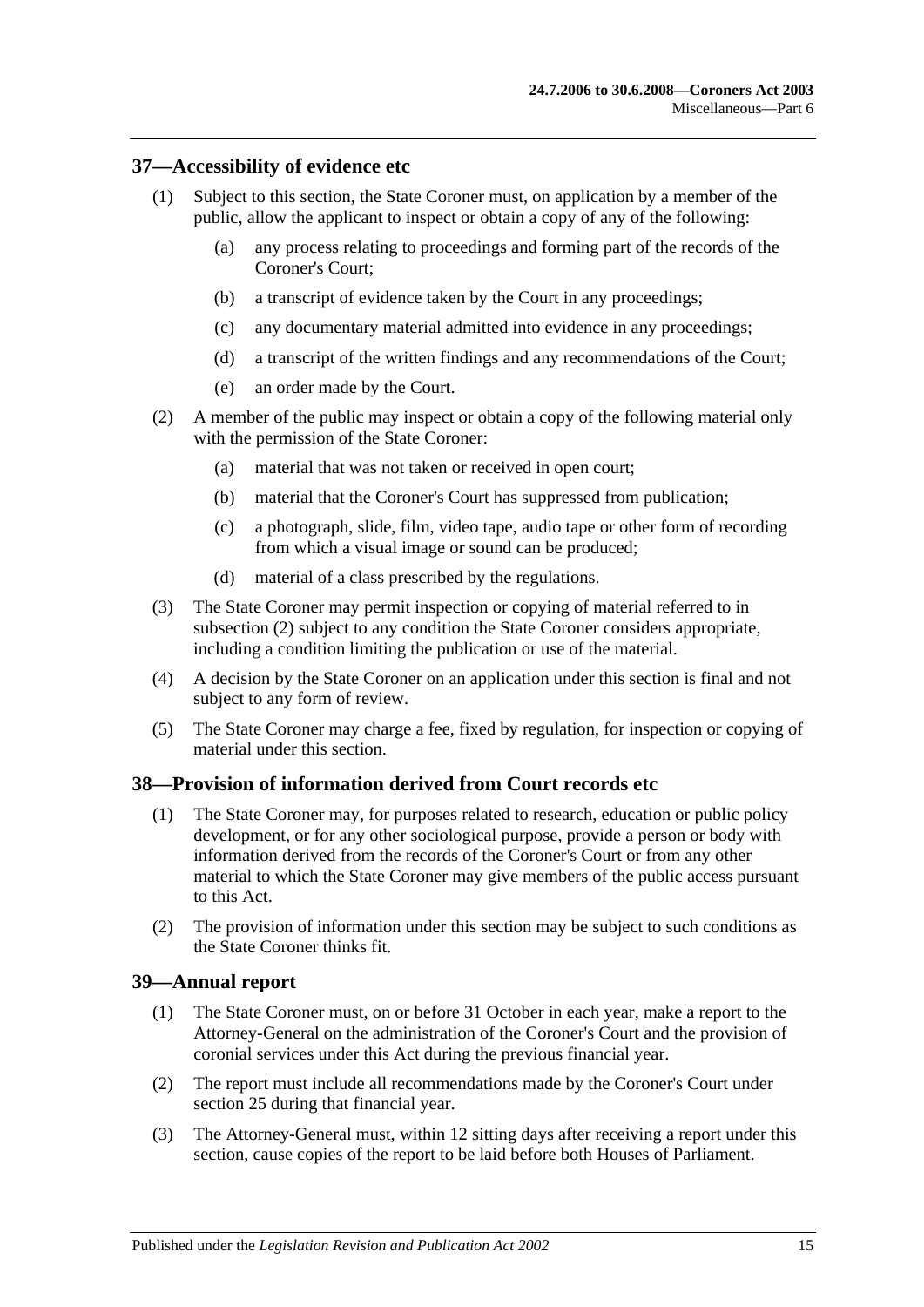### <span id="page-14-0"></span>**37—Accessibility of evidence etc**

- (1) Subject to this section, the State Coroner must, on application by a member of the public, allow the applicant to inspect or obtain a copy of any of the following:
	- (a) any process relating to proceedings and forming part of the records of the Coroner's Court;
	- (b) a transcript of evidence taken by the Court in any proceedings;
	- (c) any documentary material admitted into evidence in any proceedings;
	- (d) a transcript of the written findings and any recommendations of the Court;
	- (e) an order made by the Court.
- <span id="page-14-3"></span>(2) A member of the public may inspect or obtain a copy of the following material only with the permission of the State Coroner:
	- (a) material that was not taken or received in open court;
	- (b) material that the Coroner's Court has suppressed from publication;
	- (c) a photograph, slide, film, video tape, audio tape or other form of recording from which a visual image or sound can be produced;
	- (d) material of a class prescribed by the regulations.
- (3) The State Coroner may permit inspection or copying of material referred to in [subsection](#page-14-3) (2) subject to any condition the State Coroner considers appropriate, including a condition limiting the publication or use of the material.
- (4) A decision by the State Coroner on an application under this section is final and not subject to any form of review.
- (5) The State Coroner may charge a fee, fixed by regulation, for inspection or copying of material under this section.

#### <span id="page-14-1"></span>**38—Provision of information derived from Court records etc**

- (1) The State Coroner may, for purposes related to research, education or public policy development, or for any other sociological purpose, provide a person or body with information derived from the records of the Coroner's Court or from any other material to which the State Coroner may give members of the public access pursuant to this Act.
- (2) The provision of information under this section may be subject to such conditions as the State Coroner thinks fit.

#### <span id="page-14-2"></span>**39—Annual report**

- (1) The State Coroner must, on or before 31 October in each year, make a report to the Attorney-General on the administration of the Coroner's Court and the provision of coronial services under this Act during the previous financial year.
- (2) The report must include all recommendations made by the Coroner's Court under [section](#page-10-1) 25 during that financial year.
- (3) The Attorney-General must, within 12 sitting days after receiving a report under this section, cause copies of the report to be laid before both Houses of Parliament.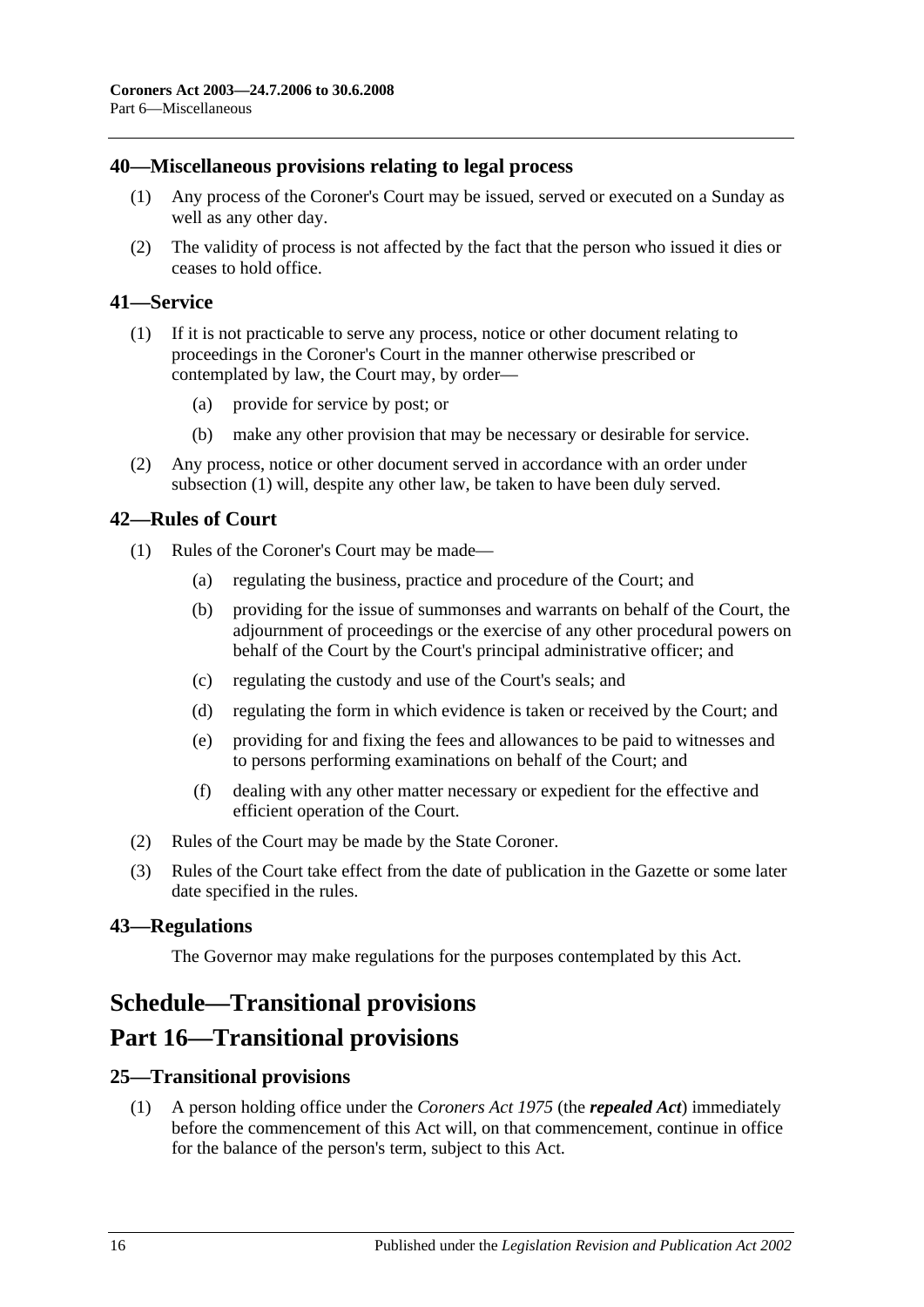### <span id="page-15-0"></span>**40—Miscellaneous provisions relating to legal process**

- (1) Any process of the Coroner's Court may be issued, served or executed on a Sunday as well as any other day.
- (2) The validity of process is not affected by the fact that the person who issued it dies or ceases to hold office.

### <span id="page-15-6"></span><span id="page-15-1"></span>**41—Service**

- (1) If it is not practicable to serve any process, notice or other document relating to proceedings in the Coroner's Court in the manner otherwise prescribed or contemplated by law, the Court may, by order—
	- (a) provide for service by post; or
	- (b) make any other provision that may be necessary or desirable for service.
- (2) Any process, notice or other document served in accordance with an order under [subsection](#page-15-6) (1) will, despite any other law, be taken to have been duly served.

#### <span id="page-15-2"></span>**42—Rules of Court**

- (1) Rules of the Coroner's Court may be made—
	- (a) regulating the business, practice and procedure of the Court; and
	- (b) providing for the issue of summonses and warrants on behalf of the Court, the adjournment of proceedings or the exercise of any other procedural powers on behalf of the Court by the Court's principal administrative officer; and
	- (c) regulating the custody and use of the Court's seals; and
	- (d) regulating the form in which evidence is taken or received by the Court; and
	- (e) providing for and fixing the fees and allowances to be paid to witnesses and to persons performing examinations on behalf of the Court; and
	- (f) dealing with any other matter necessary or expedient for the effective and efficient operation of the Court.
- (2) Rules of the Court may be made by the State Coroner.
- (3) Rules of the Court take effect from the date of publication in the Gazette or some later date specified in the rules.

#### <span id="page-15-3"></span>**43—Regulations**

The Governor may make regulations for the purposes contemplated by this Act.

## <span id="page-15-4"></span>**Schedule—Transitional provisions**

## **Part 16—Transitional provisions**

## <span id="page-15-5"></span>**25—Transitional provisions**

(1) A person holding office under the *[Coroners Act](http://www.legislation.sa.gov.au/index.aspx?action=legref&type=act&legtitle=Coroners%20Act%201975) 1975* (the *repealed Act*) immediately before the commencement of this Act will, on that commencement, continue in office for the balance of the person's term, subject to this Act.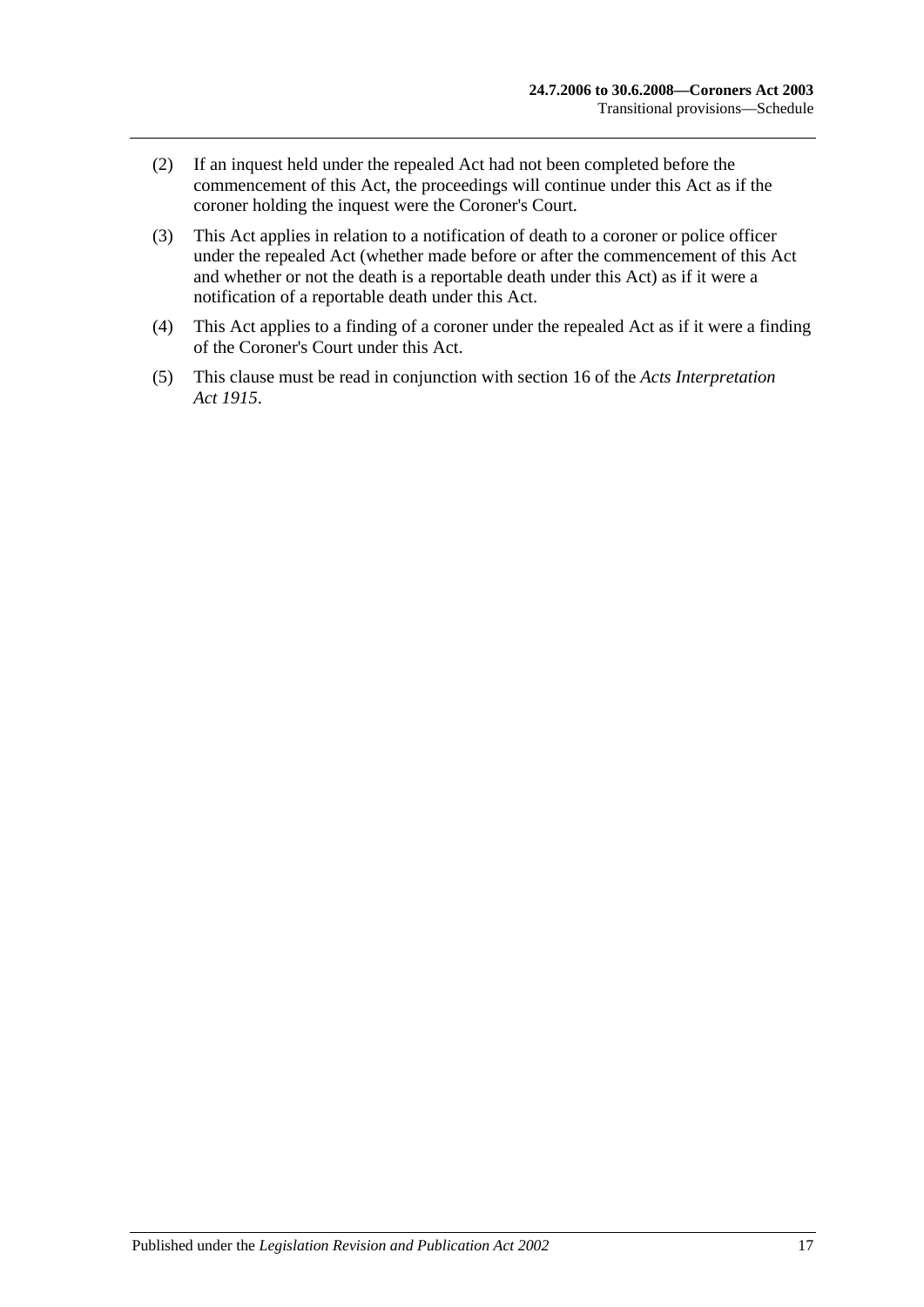- (2) If an inquest held under the repealed Act had not been completed before the commencement of this Act, the proceedings will continue under this Act as if the coroner holding the inquest were the Coroner's Court.
- (3) This Act applies in relation to a notification of death to a coroner or police officer under the repealed Act (whether made before or after the commencement of this Act and whether or not the death is a reportable death under this Act) as if it were a notification of a reportable death under this Act.
- (4) This Act applies to a finding of a coroner under the repealed Act as if it were a finding of the Coroner's Court under this Act.
- (5) This clause must be read in conjunction with section 16 of the *[Acts Interpretation](http://www.legislation.sa.gov.au/index.aspx?action=legref&type=act&legtitle=Acts%20Interpretation%20Act%201915)  Act [1915](http://www.legislation.sa.gov.au/index.aspx?action=legref&type=act&legtitle=Acts%20Interpretation%20Act%201915)*.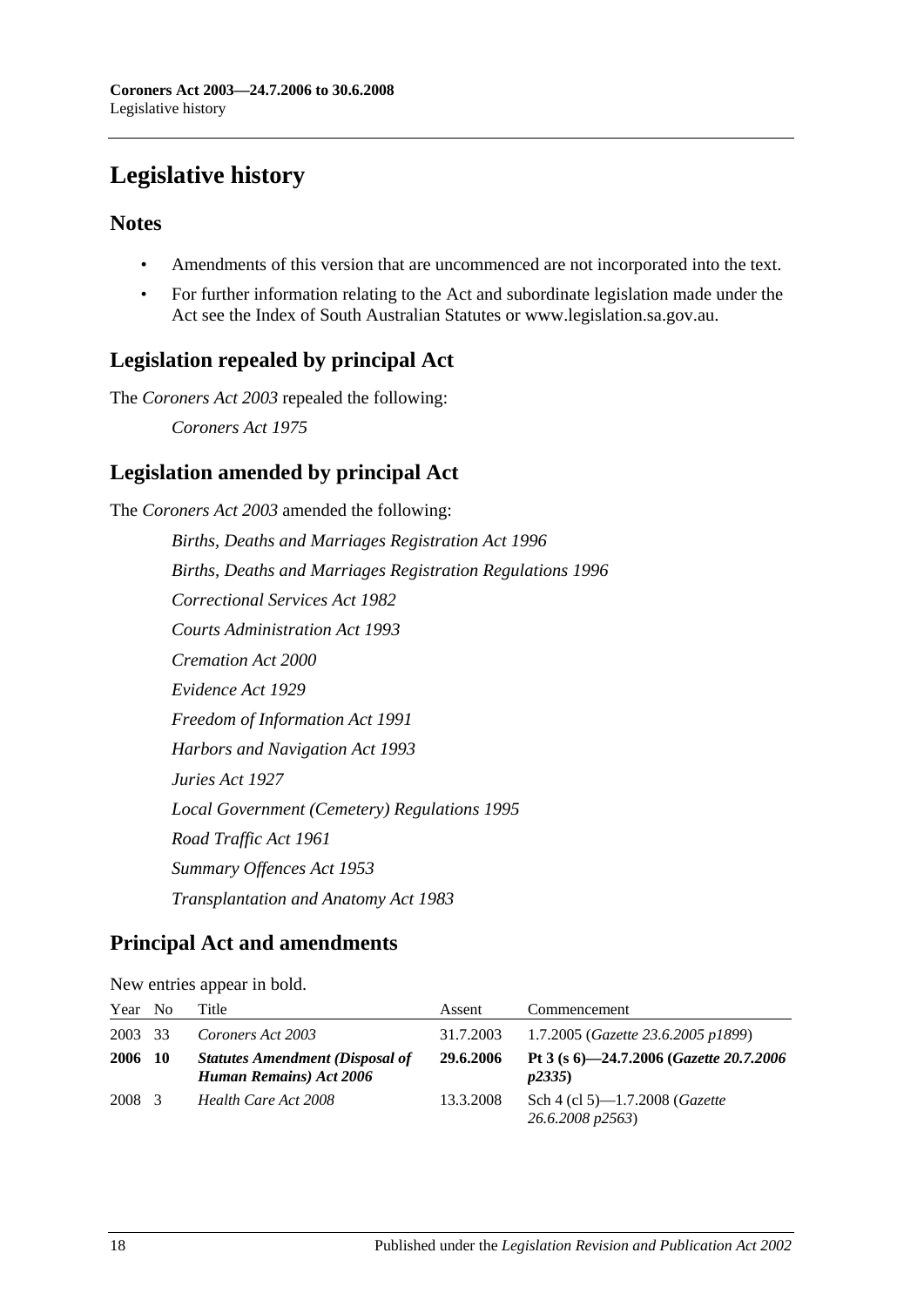# <span id="page-17-0"></span>**Legislative history**

## **Notes**

- Amendments of this version that are uncommenced are not incorporated into the text.
- For further information relating to the Act and subordinate legislation made under the Act see the Index of South Australian Statutes or www.legislation.sa.gov.au.

## **Legislation repealed by principal Act**

The *Coroners Act 2003* repealed the following:

*Coroners Act 1975*

## **Legislation amended by principal Act**

The *Coroners Act 2003* amended the following: *Births, Deaths and Marriages Registration Act 1996 Births, Deaths and Marriages Registration Regulations 1996 Correctional Services Act 1982 Courts Administration Act 1993 Cremation Act 2000 Evidence Act 1929 Freedom of Information Act 1991 Harbors and Navigation Act 1993 Juries Act 1927 Local Government (Cemetery) Regulations 1995 Road Traffic Act 1961 Summary Offences Act 1953 Transplantation and Anatomy Act 1983*

## **Principal Act and amendments**

| New entries appear in bold. |  |  |  |  |  |  |  |  |  |  |  |  |  |  |  |  |  |  |  |  |  |  |  |  |  |  |  |  |  |  |  |  |  |  |  |  |  |  |  |  |  |  |  |  |  |  |  |  |  |  |  |  |  |  |  |  |  |  |  |  |  |  |  |  |  |  |  |  |  |  |  |  |  |  |  |  |  |  |  |  |  |  |  |  |  |  |  |  |  |  |  |  |  |  |  |  |  |  |  |  |  |  |  |  |  |  |  |  |  |  |  |  |  |  |  |  |  |  |  |  |  |  |  |  |  |  |  |  |  |  |  |  |  |  |  |  |  |  |  |  |  |  |  |  |  |  |
|-----------------------------|--|--|--|--|--|--|--|--|--|--|--|--|--|--|--|--|--|--|--|--|--|--|--|--|--|--|--|--|--|--|--|--|--|--|--|--|--|--|--|--|--|--|--|--|--|--|--|--|--|--|--|--|--|--|--|--|--|--|--|--|--|--|--|--|--|--|--|--|--|--|--|--|--|--|--|--|--|--|--|--|--|--|--|--|--|--|--|--|--|--|--|--|--|--|--|--|--|--|--|--|--|--|--|--|--|--|--|--|--|--|--|--|--|--|--|--|--|--|--|--|--|--|--|--|--|--|--|--|--|--|--|--|--|--|--|--|--|--|--|--|--|--|--|--|--|--|
|-----------------------------|--|--|--|--|--|--|--|--|--|--|--|--|--|--|--|--|--|--|--|--|--|--|--|--|--|--|--|--|--|--|--|--|--|--|--|--|--|--|--|--|--|--|--|--|--|--|--|--|--|--|--|--|--|--|--|--|--|--|--|--|--|--|--|--|--|--|--|--|--|--|--|--|--|--|--|--|--|--|--|--|--|--|--|--|--|--|--|--|--|--|--|--|--|--|--|--|--|--|--|--|--|--|--|--|--|--|--|--|--|--|--|--|--|--|--|--|--|--|--|--|--|--|--|--|--|--|--|--|--|--|--|--|--|--|--|--|--|--|--|--|--|--|--|--|--|--|

| Year No |      | Title                                                                     | Assent    | Commencement                                               |
|---------|------|---------------------------------------------------------------------------|-----------|------------------------------------------------------------|
| 2003 33 |      | Coroners Act 2003                                                         | 31.7.2003 | 1.7.2005 ( <i>Gazette 23.6.2005 p1899</i> )                |
| 2006    | - 10 | <b>Statutes Amendment (Disposal of</b><br><b>Human Remains</b> ) Act 2006 | 29.6.2006 | Pt 3 (s 6)-24.7.2006 (Gazette 20.7.2006)<br>p2335          |
| 2008 3  |      | Health Care Act 2008                                                      | 13.3.2008 | Sch 4 (cl 5)—1.7.2008 ( <i>Gazette</i><br>26.6.2008 p2563) |